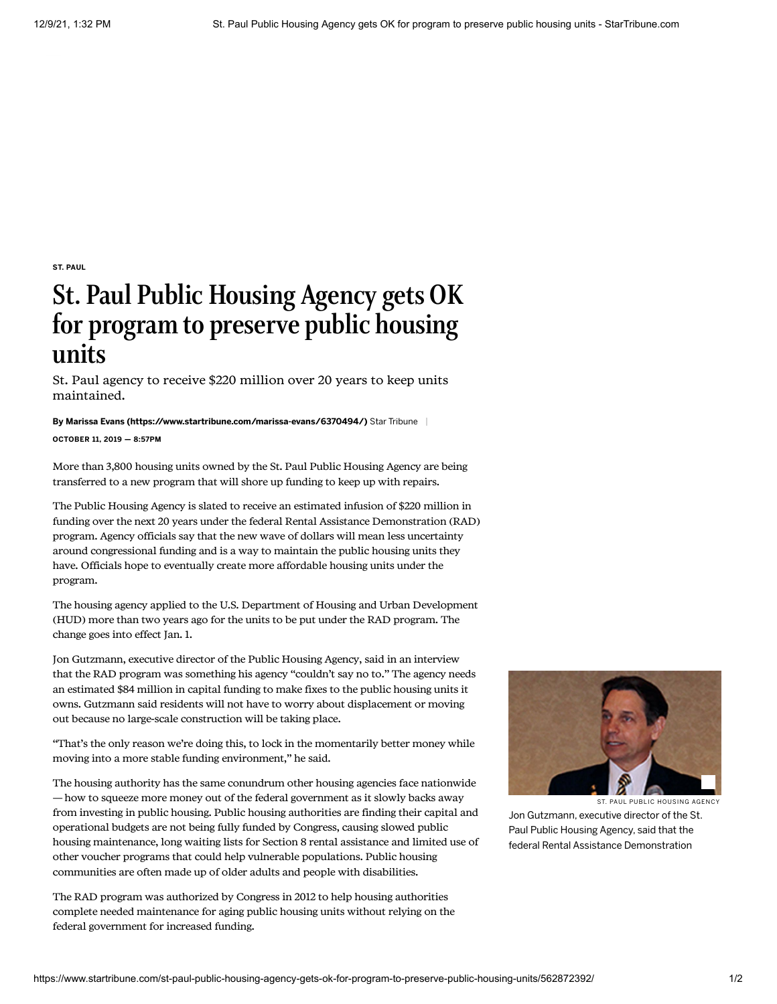ST. [PAUL](https://www.startribune.com/local/stpaul/)

## St. Paul Public Housing Agency gets OK for program to preserve public housing units

St. Paul agency to receive \$220 million over 20 years to keep units maintained.

## By [Marissa Evans \(https://www.startribune.com/marissa-evans/6370494/\)](https://www.startribune.com/marissa-evans/6370494/) Star Tribune

OCTOBER 11, 2019 — 8:57PM

More than 3,800 housing units owned by the St. Paul Public Housing Agency are being transferred to a new program that will shore up funding to keep up with repairs.

The Public Housing Agency is slated to receive an estimated infusion of \$220 million in funding over the next 20 years under the federal Rental Assistance Demonstration (RAD) program. Agency officials say that the new wave of dollars will mean less uncertainty around congressional funding and is a way to maintain the public housing units they have. Officials hope to eventually create more affordable housing units under the program.

The housing agency applied to the U.S. Department of Housing and Urban Development (HUD) more than two years ago for the units to be put under the RAD program. The change goes into effect Jan. 1.

Jon Gutzmann, executive director of the Public Housing Agency, said in an interview that the RAD program was something his agency "couldn't say no to." The agency needs an estimated \$84 million in capital funding to make fixes to the public housing units it owns. Gutzmann said residents will not have to worry about displacement or moving out because no large-scale construction will be taking place.

"That's the only reason we're doing this, to lock in the momentarily better money while moving into a more stable funding environment," he said.

The housing authority has the same conundrum other housing agencies face nationwide — how to squeeze more money out of the federal government as it slowly backs away from investing in public housing. Public housing authorities are finding their capital and operational budgets are not being fully funded by Congress, causing slowed public housing maintenance, long waiting lists for Section 8 rental assistance and limited use of other voucher programs that could help vulnerable populations. Public housing communities are often made up of older adults and people with disabilities.

The RAD program was authorized by Congress in 2012 to help housing authorities complete needed maintenance for aging public housing units without relying on the federal government for increased funding.



ST. PAUL PUBLIC HOUSING AGENCY

Jon Gutzmann, executive director of the St. Paul Public Housing Agency, said that the federal Rental Assistance Demonstration